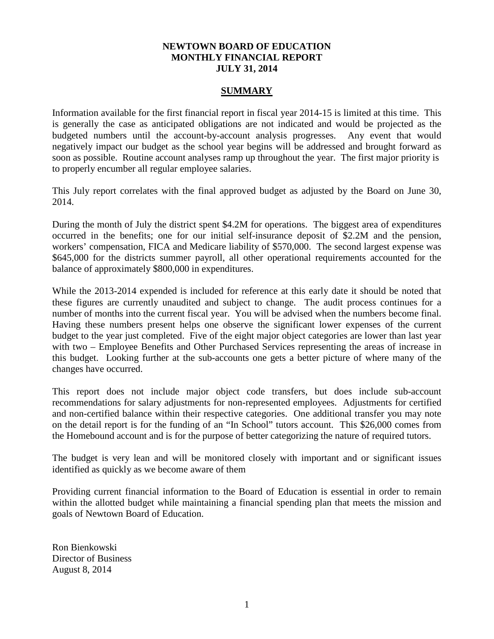## **NEWTOWN BOARD OF EDUCATION MONTHLY FINANCIAL REPORT JULY 31, 2014**

#### **SUMMARY**

Information available for the first financial report in fiscal year 2014-15 is limited at this time. This is generally the case as anticipated obligations are not indicated and would be projected as the budgeted numbers until the account-by-account analysis progresses. Any event that would negatively impact our budget as the school year begins will be addressed and brought forward as soon as possible. Routine account analyses ramp up throughout the year. The first major priority is to properly encumber all regular employee salaries.

This July report correlates with the final approved budget as adjusted by the Board on June 30, 2014.

During the month of July the district spent \$4.2M for operations. The biggest area of expenditures occurred in the benefits; one for our initial self-insurance deposit of \$2.2M and the pension, workers' compensation, FICA and Medicare liability of \$570,000. The second largest expense was \$645,000 for the districts summer payroll, all other operational requirements accounted for the balance of approximately \$800,000 in expenditures.

While the 2013-2014 expended is included for reference at this early date it should be noted that these figures are currently unaudited and subject to change. The audit process continues for a number of months into the current fiscal year. You will be advised when the numbers become final. Having these numbers present helps one observe the significant lower expenses of the current budget to the year just completed. Five of the eight major object categories are lower than last year with two – Employee Benefits and Other Purchased Services representing the areas of increase in this budget. Looking further at the sub-accounts one gets a better picture of where many of the changes have occurred.

This report does not include major object code transfers, but does include sub-account recommendations for salary adjustments for non-represented employees. Adjustments for certified and non-certified balance within their respective categories. One additional transfer you may note on the detail report is for the funding of an "In School" tutors account. This \$26,000 comes from the Homebound account and is for the purpose of better categorizing the nature of required tutors.

The budget is very lean and will be monitored closely with important and or significant issues identified as quickly as we become aware of them

Providing current financial information to the Board of Education is essential in order to remain within the allotted budget while maintaining a financial spending plan that meets the mission and goals of Newtown Board of Education.

Ron Bienkowski Director of Business August 8, 2014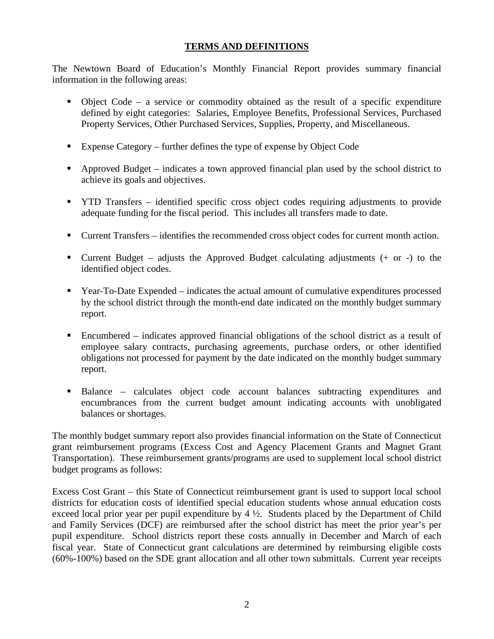# **TERMS AND DEFINITIONS**

The Newtown Board of Education's Monthly Financial Report provides summary financial information in the following areas:

- $\bullet$  Object Code a service or commodity obtained as the result of a specific expenditure defined by eight categories: Salaries, Employee Benefits, Professional Services, Purchased Property Services, Other Purchased Services, Supplies, Property, and Miscellaneous.
- Expense Category further defines the type of expense by Object Code
- Approved Budget indicates a town approved financial plan used by the school district to achieve its goals and objectives.
- **THE TRANSFER** identified specific cross object codes requiring adjustments to provide adequate funding for the fiscal period. This includes all transfers made to date.
- Current Transfers identifies the recommended cross object codes for current month action.
- **Current Budget** adjusts the Approved Budget calculating adjustments  $(+)$  or  $-)$  to the identified object codes.
- Year-To-Date Expended indicates the actual amount of cumulative expenditures processed by the school district through the month-end date indicated on the monthly budget summary report.
- Encumbered indicates approved financial obligations of the school district as a result of employee salary contracts, purchasing agreements, purchase orders, or other identified obligations not processed for payment by the date indicated on the monthly budget summary report.
- Balance calculates object code account balances subtracting expenditures and encumbrances from the current budget amount indicating accounts with unobligated balances or shortages.

The monthly budget summary report also provides financial information on the State of Connecticut grant reimbursement programs (Excess Cost and Agency Placement Grants and Magnet Grant Transportation). These reimbursement grants/programs are used to supplement local school district budget programs as follows:

Excess Cost Grant – this State of Connecticut reimbursement grant is used to support local school districts for education costs of identified special education students whose annual education costs exceed local prior year per pupil expenditure by 4 ½. Students placed by the Department of Child and Family Services (DCF) are reimbursed after the school district has meet the prior year's per pupil expenditure. School districts report these costs annually in December and March of each fiscal year. State of Connecticut grant calculations are determined by reimbursing eligible costs (60%-100%) based on the SDE grant allocation and all other town submittals. Current year receipts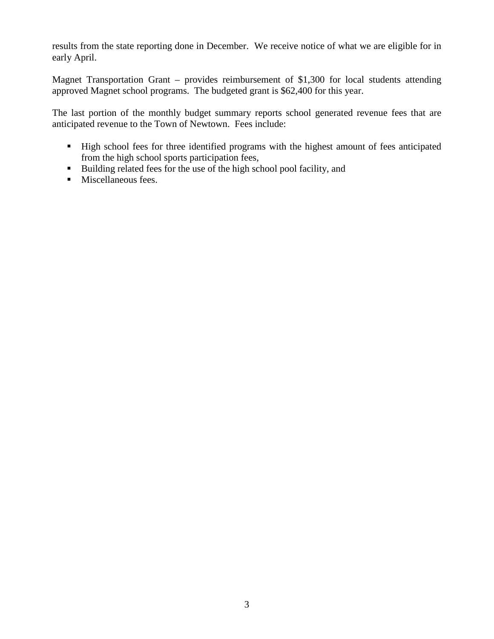results from the state reporting done in December. We receive notice of what we are eligible for in early April.

Magnet Transportation Grant – provides reimbursement of \$1,300 for local students attending approved Magnet school programs. The budgeted grant is \$62,400 for this year.

The last portion of the monthly budget summary reports school generated revenue fees that are anticipated revenue to the Town of Newtown. Fees include:

- High school fees for three identified programs with the highest amount of fees anticipated from the high school sports participation fees,
- Building related fees for the use of the high school pool facility, and
- **Miscellaneous fees.**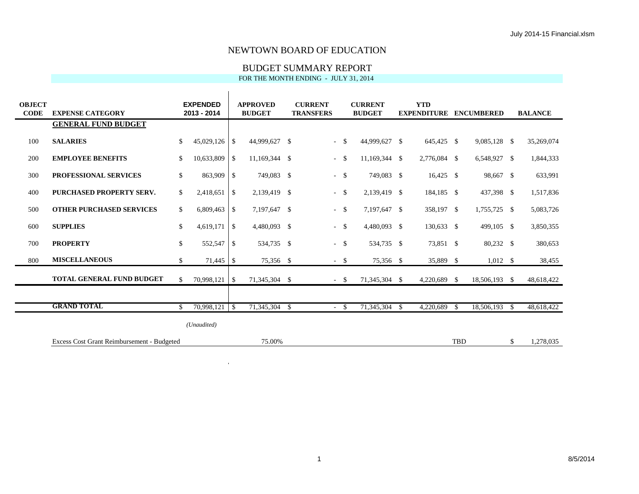#### BUDGET SUMMARY REPORT

FOR THE MONTH ENDING - JULY 31, 2014

| <b>OBJECT</b><br><b>CODE</b> | <b>EXPENSE CATEGORY</b>                    | <b>EXPENDED</b><br>2013 - 2014 |                    | <b>APPROVED</b><br><b>BUDGET</b> | <b>CURRENT</b><br><b>TRANSFERS</b> |               | <b>CURRENT</b><br><b>BUDGET</b> |               | <b>YTD</b>   |            | <b>EXPENDITURE ENCUMBERED</b> |      | <b>BALANCE</b> |
|------------------------------|--------------------------------------------|--------------------------------|--------------------|----------------------------------|------------------------------------|---------------|---------------------------------|---------------|--------------|------------|-------------------------------|------|----------------|
|                              | <b>GENERAL FUND BUDGET</b>                 |                                |                    |                                  |                                    |               |                                 |               |              |            |                               |      |                |
| 100                          | <b>SALARIES</b>                            | \$<br>45,029,126               | \$                 | 44,999,627 \$                    | $\sim$                             | <sup>\$</sup> | 44,999,627 \$                   |               | 645,425 \$   |            | 9,085,128 \$                  |      | 35,269,074     |
| 200                          | <b>EMPLOYEE BENEFITS</b>                   | \$<br>10,633,809               | $\mathbb{S}$       | 11,169,344 \$                    | $\sim$                             | $\mathcal{S}$ | 11,169,344 \$                   |               | 2,776,084 \$ |            | 6,548,927 \$                  |      | 1,844,333      |
| 300                          | PROFESSIONAL SERVICES                      | \$<br>863,909                  | $\mathbf{\hat{S}}$ | 749,083 \$                       | $\omega_{\rm{eff}}$                | - \$          | 749,083 \$                      |               | $16,425$ \$  |            | 98,667 \$                     |      | 633,991        |
| 400                          | <b>PURCHASED PROPERTY SERV.</b>            | \$<br>2,418,651                | $\mathbf{\hat{S}}$ | 2,139,419 \$                     | $-5$                               |               | 2,139,419 \$                    |               | 184,185 \$   |            | 437,398 \$                    |      | 1,517,836      |
| 500                          | <b>OTHER PURCHASED SERVICES</b>            | \$<br>6,809,463                | \$                 | 7,197,647 \$                     | $-5$                               |               | 7,197,647 \$                    |               | 358,197 \$   |            | 1,755,725 \$                  |      | 5,083,726      |
| 600                          | <b>SUPPLIES</b>                            | \$<br>4,619,171                | <b>S</b>           | 4,480,093 \$                     | $-5$                               |               | 4,480,093 \$                    |               | 130,633 \$   |            | 499,105 \$                    |      | 3,850,355      |
| 700                          | <b>PROPERTY</b>                            | \$<br>552,547                  | -\$                | 534,735 \$                       | $\omega_{\rm{eff}}$                | - \$          | 534,735 \$                      |               | 73,851 \$    |            | 80,232 \$                     |      | 380,653        |
| 800                          | <b>MISCELLANEOUS</b>                       | \$<br>71,445                   | -\$                | 75,356 \$                        | $-$ \$                             |               | 75,356 \$                       |               | 35,889 \$    |            | $1,012$ \$                    |      | 38,455         |
|                              | <b>TOTAL GENERAL FUND BUDGET</b>           | \$                             |                    | 71,345,304 \$                    | $-5$                               |               | 71,345,304 \$                   |               | 4,220,689 \$ |            | 18,506,193 \$                 |      | 48,618,422     |
|                              |                                            |                                |                    |                                  |                                    |               |                                 |               |              |            |                               |      |                |
|                              | <b>GRAND TOTAL</b>                         | \$<br>70,998,121               | $\mathbf{s}$       | 71,345,304 \$                    | $\sim$                             | -\$           | 71,345,304                      | <sup>\$</sup> | 4,220,689    | - \$       | 18,506,193                    | - \$ | 48,618,422     |
|                              |                                            | (Unaudited)                    |                    |                                  |                                    |               |                                 |               |              |            |                               |      |                |
|                              | Excess Cost Grant Reimbursement - Budgeted |                                |                    | 75.00%                           |                                    |               |                                 |               |              | <b>TBD</b> |                               | \$   | 1,278,035      |

 $\mathcal{A}^{\mathcal{A}}$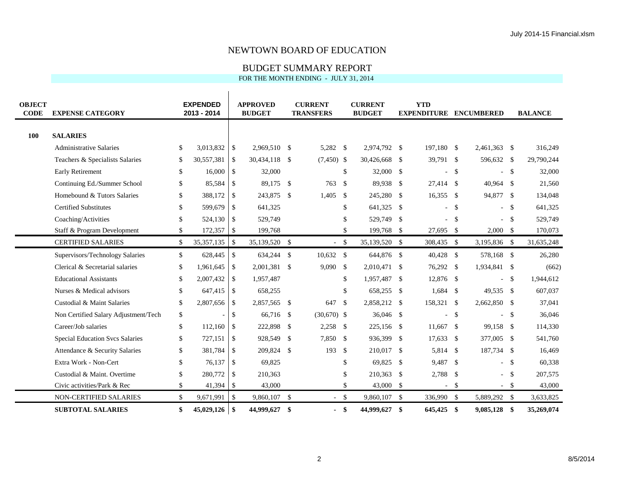#### BUDGET SUMMARY REPORT

| <b>OBJECT</b><br><b>CODE</b> | <b>EXPENSE CATEGORY</b>                | <b>EXPENDED</b><br>2013 - 2014 |                          | <b>APPROVED</b><br><b>BUDGET</b> |                    | <b>CURRENT</b><br><b>TRANSFERS</b> |               | <b>CURRENT</b><br><b>BUDGET</b> |     | <b>YTD</b><br><b>EXPENDITURE ENCUMBERED</b> |              |                          |                    | <b>BALANCE</b> |
|------------------------------|----------------------------------------|--------------------------------|--------------------------|----------------------------------|--------------------|------------------------------------|---------------|---------------------------------|-----|---------------------------------------------|--------------|--------------------------|--------------------|----------------|
|                              |                                        |                                |                          |                                  |                    |                                    |               |                                 |     |                                             |              |                          |                    |                |
| 100                          | <b>SALARIES</b>                        |                                |                          |                                  |                    |                                    |               |                                 |     |                                             |              |                          |                    |                |
|                              | <b>Administrative Salaries</b>         | \$<br>3,013,832                | -\$                      | 2,969,510 \$                     |                    | 5,282 \$                           |               | 2,974,792 \$                    |     | 197,180 \$                                  |              | 2,461,363 \$             |                    | 316,249        |
|                              | Teachers & Specialists Salaries        | \$<br>30,557,381               | -\$                      | 30,434,118                       | $\mathbf{\hat{S}}$ | $(7,450)$ \$                       |               | 30,426,668 \$                   |     | 39,791 \$                                   |              | 596,632 \$               |                    | 29,790,244     |
|                              | <b>Early Retirement</b>                | \$<br>16,000                   | $\vert$ \$               | 32,000                           |                    |                                    | \$            | 32,000 \$                       |     |                                             | $\mathbf{s}$ | ÷.                       | $\mathcal{S}$      | 32,000         |
|                              | Continuing Ed./Summer School           | \$<br>85,584                   | $\overline{\phantom{a}}$ | 89.175 \$                        |                    | 763                                | - \$          | 89,938 \$                       |     | 27.414 \$                                   |              | 40,964 \$                |                    | 21,560         |
|                              | Homebound & Tutors Salaries            | \$<br>388,172                  | -\$                      | 243,875 \$                       |                    | 1,405                              | \$            | 245,280 \$                      |     | $16,355$ \$                                 |              | 94,877 \$                |                    | 134,048        |
|                              | <b>Certified Substitutes</b>           | \$<br>599,679                  | $\overline{\phantom{a}}$ | 641,325                          |                    |                                    | $\mathcal{S}$ | 641,325 \$                      |     |                                             | $-$ \$       |                          | $-$ \$             | 641,325        |
|                              | Coaching/Activities                    | \$<br>524,130                  | $\overline{\phantom{a}}$ | 529,749                          |                    |                                    | \$            | 529,749 \$                      |     |                                             | $\mathbf{s}$ | u.                       | -S                 | 529,749        |
|                              | Staff & Program Development            | \$<br>172,357                  | $\overline{1}$           | 199,768                          |                    |                                    | \$            | 199,768 \$                      |     | 27,695 \$                                   |              | 2,000 S                  |                    | 170,073        |
|                              | <b>CERTIFIED SALARIES</b>              | \$<br>35, 357, 135             | $\overline{\phantom{a}}$ | 35,139,520 \$                    |                    | $-5$                               |               | 35,139,520 \$                   |     | 308,435 \$                                  |              | 3,195,836 \$             |                    | 31,635,248     |
|                              | Supervisors/Technology Salaries        | \$                             |                          | 634,244 \$                       |                    | $10,632$ \$                        |               | 644,876 \$                      |     | 40,428 \$                                   |              | 578,168 \$               |                    | 26,280         |
|                              | Clerical & Secretarial salaries        | \$<br>1,961,645                | $\overline{\phantom{a}}$ | 2,001,381 \$                     |                    | $9,090$ \$                         |               | 2,010,471 \$                    |     | 76,292 \$                                   |              | 1,934,841 \$             |                    | (662)          |
|                              | <b>Educational Assistants</b>          | \$<br>2,007,432                | $\vert$ \$               | 1,957,487                        |                    |                                    | \$            | 1,957,487 \$                    |     | 12,876 \$                                   |              | $\overline{a}$           | $\mathbf{\hat{S}}$ | 1,944,612      |
|                              | Nurses & Medical advisors              | \$<br>647,415                  | $\overline{1}$           | 658,255                          |                    |                                    | \$            | 658,255 \$                      |     | $1,684$ \$                                  |              | 49,535 \$                |                    | 607,037        |
|                              | Custodial & Maint Salaries             | \$<br>$2,807,656$ \$           |                          | 2,857,565 \$                     |                    | 647                                | - \$          | 2,858,212 \$                    |     | 158,321 \$                                  |              | 2,662,850 \$             |                    | 37,041         |
|                              | Non Certified Salary Adjustment/Tech   | \$                             | \$                       | 66,716                           | -\$                | $(30,670)$ \$                      |               | $36,046$ \$                     |     |                                             | $\mathbf{s}$ | $\overline{a}$           | $\mathcal{S}$      | 36,046         |
|                              | Career/Job salaries                    | \$<br>112,160                  | $\overline{1}$           | 222,898                          | \$                 | $2,258$ \$                         |               | 225,156 \$                      |     | $11,667$ \$                                 |              | 99,158 \$                |                    | 114,330        |
|                              | <b>Special Education Svcs Salaries</b> | \$<br>727,151                  | $\overline{\phantom{a}}$ | 928,549                          | $\mathbf{\hat{S}}$ | 7,850 \$                           |               | 936,399 \$                      |     | $17,633$ \$                                 |              | 377,005 \$               |                    | 541,760        |
|                              | Attendance & Security Salaries         | \$<br>381,784                  | $\overline{1}$           | 209,824                          | \$                 | 193                                | \$            | 210,017 \$                      |     | 5,814 \$                                    |              | 187,734 \$               |                    | 16,469         |
|                              | Extra Work - Non-Cert                  | \$<br>76,137                   | $\overline{\phantom{a}}$ | 69,825                           |                    |                                    | \$            | 69,825 \$                       |     | 9,487 \$                                    |              | $\overline{\phantom{0}}$ | - \$               | 60,338         |
|                              | Custodial & Maint. Overtime            | \$<br>280,772                  | $\overline{\phantom{a}}$ | 210,363                          |                    |                                    | \$            | 210,363                         | -\$ | 2,788 \$                                    |              |                          | -S                 | 207,575        |
|                              | Civic activities/Park & Rec            | \$<br>41,394                   | $\overline{\phantom{a}}$ | 43,000                           |                    |                                    | \$            | 43,000 \$                       |     |                                             | $-$ \$       | $-$ \$                   |                    | 43,000         |
|                              | NON-CERTIFIED SALARIES                 | \$<br>9,671,991                | $\overline{1}$           | 9,860,107 \$                     |                    | $-5$                               |               | 9,860,107 \$                    |     | 336,990 \$                                  |              | 5,889,292 \$             |                    | 3,633,825      |
|                              | <b>SUBTOTAL SALARIES</b>               | \$<br>$45,029,126$ \\$         |                          | 44,999,627 \$                    |                    | $\blacksquare$                     | \$            | 44,999,627                      | -\$ | 645,425 \$                                  |              | 9,085,128 \$             |                    | 35,269,074     |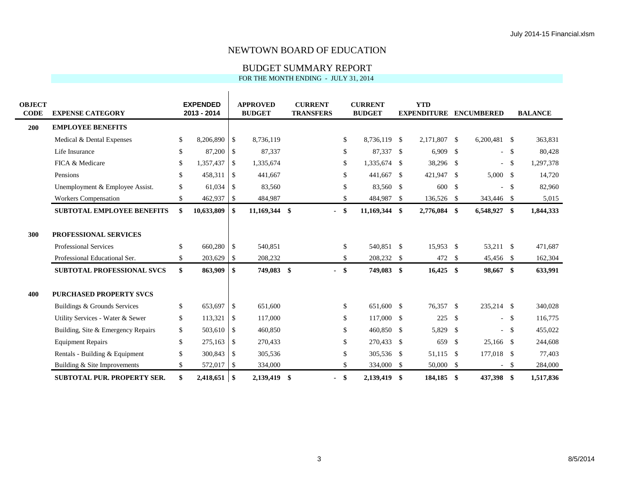#### BUDGET SUMMARY REPORT

| <b>OBJECT</b> |                                    | <b>EXPENDED</b>      |                          | <b>APPROVED</b> | <b>CURRENT</b>   |               | <b>CURRENT</b> |      | <b>YTD</b>                    |                |      |                |
|---------------|------------------------------------|----------------------|--------------------------|-----------------|------------------|---------------|----------------|------|-------------------------------|----------------|------|----------------|
| <b>CODE</b>   | <b>EXPENSE CATEGORY</b>            | 2013 - 2014          |                          | <b>BUDGET</b>   | <b>TRANSFERS</b> |               | <b>BUDGET</b>  |      | <b>EXPENDITURE ENCUMBERED</b> |                |      | <b>BALANCE</b> |
| 200           | <b>EMPLOYEE BENEFITS</b>           |                      |                          |                 |                  |               |                |      |                               |                |      |                |
|               | Medical & Dental Expenses          | \$<br>8,206,890      | $\vert$ \$               | 8,736,119       |                  | \$            | 8,736,119 \$   |      | 2,171,807 \$                  | $6,200,481$ \$ |      | 363,831        |
|               | Life Insurance                     | \$<br>87,200 \$      |                          | 87,337          |                  | \$            | 87,337 \$      |      | $6,909$ \$                    | $\sim$         | - \$ | 80,428         |
|               | FICA & Medicare                    | \$<br>1,357,437      | -\$                      | 1,335,674       |                  | \$            | 1,335,674 \$   |      | 38,296 \$                     | $\sim$         | -S   | 1,297,378      |
|               | Pensions                           | \$<br>458,311        | -S                       | 441,667         |                  | \$            | 441,667        | - \$ | 421,947 \$                    | 5,000 S        |      | 14,720         |
|               | Unemployment & Employee Assist.    | \$<br>61,034         | -S                       | 83,560          |                  | \$            | 83,560 \$      |      | 600 \$                        |                | -S   | 82,960         |
|               | Workers Compensation               | \$<br>462,937        | $\overline{\phantom{a}}$ | 484,987         |                  | \$            | 484,987 \$     |      | 136,526 \$                    | 343,446 \$     |      | 5,015          |
|               | <b>SUBTOTAL EMPLOYEE BENEFITS</b>  | \$<br>10,633,809     | \$                       | 11,169,344 \$   | $\blacksquare$   | \$            | 11,169,344 \$  |      | 2,776,084 \$                  | 6,548,927 \$   |      | 1,844,333      |
|               |                                    |                      |                          |                 |                  |               |                |      |                               |                |      |                |
| 300           | PROFESSIONAL SERVICES              |                      |                          |                 |                  |               |                |      |                               |                |      |                |
|               | <b>Professional Services</b>       | \$<br>660,280 \$     |                          | 540,851         |                  | $\mathbf{s}$  | 540,851 \$     |      | 15,953 \$                     | 53,211 \$      |      | 471,687        |
|               | Professional Educational Ser.      | \$<br>$203,629$ \$   |                          | 208,232         |                  | \$            | 208,232 \$     |      | 472 \$                        | 45,456 \$      |      | 162,304        |
|               | <b>SUBTOTAL PROFESSIONAL SVCS</b>  | \$<br>863,909        | -\$                      | 749,083 \$      | $\sim$           | $\mathbf{\$}$ | 749,083 \$     |      | $16,425$ \$                   | 98,667 \$      |      | 633,991        |
|               |                                    |                      |                          |                 |                  |               |                |      |                               |                |      |                |
| 400           | <b>PURCHASED PROPERTY SVCS</b>     |                      |                          |                 |                  |               |                |      |                               |                |      |                |
|               | Buildings & Grounds Services       | \$<br>653,697 \$     |                          | 651,600         |                  | \$            | 651,600 \$     |      | 76,357 \$                     | 235,214 \$     |      | 340,028        |
|               | Utility Services - Water & Sewer   | \$<br>113,321        | $\mathcal{S}$            | 117,000         |                  | \$            | 117,000 \$     |      | 225S                          | $-5$           |      | 116,775        |
|               | Building, Site & Emergency Repairs | \$<br>503,610        | $\overline{\phantom{a}}$ | 460,850         |                  | \$            | 460,850 \$     |      | 5,829 \$                      | $\sim$         | - \$ | 455,022        |
|               | <b>Equipment Repairs</b>           | \$<br>275,163        | $\overline{1}$           | 270,433         |                  | \$            | 270,433 \$     |      | 659 \$                        | 25,166 \$      |      | 244,608        |
|               | Rentals - Building & Equipment     | \$<br>$300,843$ \$   |                          | 305,536         |                  | \$            | 305,536 \$     |      | 51.115 \$                     | 177,018 \$     |      | 77,403         |
|               | Building & Site Improvements       | \$<br>572,017        | $\mathcal{S}$            | 334,000         |                  | \$            | 334,000        | -S   | 50,000 \$                     | $\sim$         | -S   | 284,000        |
|               | <b>SUBTOTAL PUR. PROPERTY SER.</b> | \$<br>$2,418,651$ \$ |                          | 2,139,419 \$    | $\blacksquare$   | \$            | 2,139,419      | -\$  | 184,185 \$                    | 437,398 \$     |      | 1,517,836      |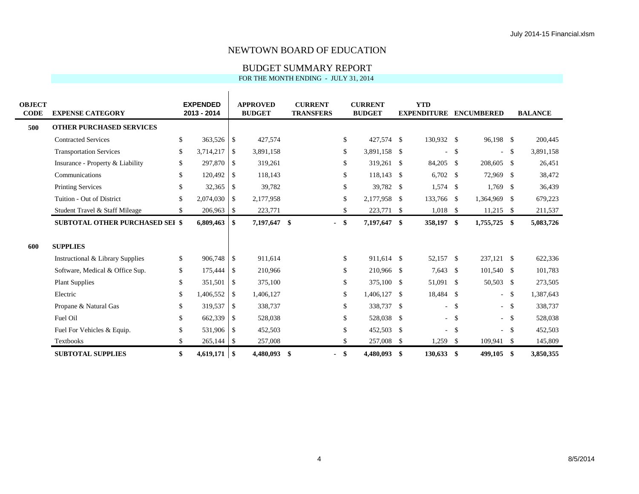#### BUDGET SUMMARY REPORT

| <b>OBJECT</b><br><b>CODE</b> | <b>EXPENSE CATEGORY</b>                | <b>EXPENDED</b><br>2013 - 2014 |                          | <b>APPROVED</b><br><b>BUDGET</b> | <b>CURRENT</b><br><b>TRANSFERS</b> |               | <b>CURRENT</b><br><b>BUDGET</b> | <b>YTD</b><br><b>EXPENDITURE ENCUMBERED</b> |        |              |        | <b>BALANCE</b> |
|------------------------------|----------------------------------------|--------------------------------|--------------------------|----------------------------------|------------------------------------|---------------|---------------------------------|---------------------------------------------|--------|--------------|--------|----------------|
| 500                          | <b>OTHER PURCHASED SERVICES</b>        |                                |                          |                                  |                                    |               |                                 |                                             |        |              |        |                |
|                              | <b>Contracted Services</b>             | \$<br>$363,526$ \$             |                          | 427,574                          |                                    | <sup>\$</sup> | 427,574 \$                      | 130,932 \$                                  |        | 96,198 \$    |        | 200,445        |
|                              | <b>Transportation Services</b>         | \$<br>3,714,217                | -\$                      | 3,891,158                        |                                    | \$            | 3,891,158 \$                    | $\sim$                                      | \$     | $\sim$       | - \$   | 3,891,158      |
|                              | Insurance - Property & Liability       | \$<br>297,870                  | $\overline{1}$           | 319,261                          |                                    | \$            | 319,261 \$                      | 84,205 \$                                   |        | 208,605 \$   |        | 26,451         |
|                              | Communications                         | \$<br>120,492                  | $\overline{\phantom{a}}$ | 118,143                          |                                    | \$            | 118,143 \$                      | $6,702$ \$                                  |        | 72,969 \$    |        | 38,472         |
|                              | <b>Printing Services</b>               | \$<br>32,365                   | $\overline{1}$           | 39,782                           |                                    | \$            | 39,782 \$                       | $1,574$ \$                                  |        | $1,769$ \$   |        | 36,439         |
|                              | Tuition - Out of District              | \$<br>2,074,030                | -\$                      | 2,177,958                        |                                    | \$            | 2,177,958 \$                    | 133,766 \$                                  |        | 1,364,969 \$ |        | 679,223        |
|                              | Student Travel & Staff Mileage         | \$<br>206,963                  | $\vert$ \$               | 223,771                          |                                    | \$            | 223,771 \$                      | $1,018$ \$                                  |        | $11,215$ \$  |        | 211,537        |
|                              | <b>SUBTOTAL OTHER PURCHASED SEI \$</b> | 6,809,463                      | -\$                      | 7,197,647 \$                     | $\overline{\phantom{0}}$           | \$            | 7,197,647 \$                    | 358,197 \$                                  |        | 1,755,725 \$ |        | 5,083,726      |
| 600                          | <b>SUPPLIES</b>                        |                                |                          |                                  |                                    |               |                                 |                                             |        |              |        |                |
|                              | Instructional & Library Supplies       | \$<br>906,748                  | $\overline{\phantom{a}}$ | 911,614                          |                                    | <sup>\$</sup> | 911,614 \$                      | 52,157 \$                                   |        | 237,121 \$   |        | 622,336        |
|                              | Software, Medical & Office Sup.        | \$<br>175,444                  | $\overline{1}$           | 210,966                          |                                    | \$            | 210,966 \$                      | $7,643$ \$                                  |        | 101,540 \$   |        | 101,783        |
|                              | <b>Plant Supplies</b>                  | \$<br>351,501                  | $\overline{1}$           | 375,100                          |                                    | \$            | 375,100 \$                      | 51,091 \$                                   |        | 50,503 \$    |        | 273,505        |
|                              | Electric                               | \$<br>1,406,552                | -\$                      | 1,406,127                        |                                    | \$            | 1,406,127 \$                    | 18,484 \$                                   |        |              | - \$   | 1,387,643      |
|                              | Propane & Natural Gas                  | \$<br>319,537                  | $\overline{1}$           | 338,737                          |                                    | \$            | 338,737 \$                      |                                             | $-$ \$ |              | $-$ \$ | 338,737        |
|                              | Fuel Oil                               | \$<br>662,339                  | $\overline{1}$           | 528,038                          |                                    | \$            | 528,038 \$                      |                                             | $-5$   | $-$ \$       |        | 528,038        |
|                              | Fuel For Vehicles & Equip.             | \$<br>531,906 \$               |                          | 452,503                          |                                    | $\mathcal{S}$ | 452,503 \$                      |                                             | $-5$   |              | $-$ \$ | 452,503        |
|                              | <b>Textbooks</b>                       | \$<br>$265,144$ \\$            |                          | 257,008                          |                                    | \$            | 257,008 \$                      | $1,259$ \$                                  |        | 109,941 \$   |        | 145,809        |
|                              | <b>SUBTOTAL SUPPLIES</b>               | \$<br>$4,619,171$ \$           |                          | 4,480,093 \$                     | $\blacksquare$                     | -\$           | 4,480,093 \$                    | $130,633$ \$                                |        | 499,105 \$   |        | 3,850,355      |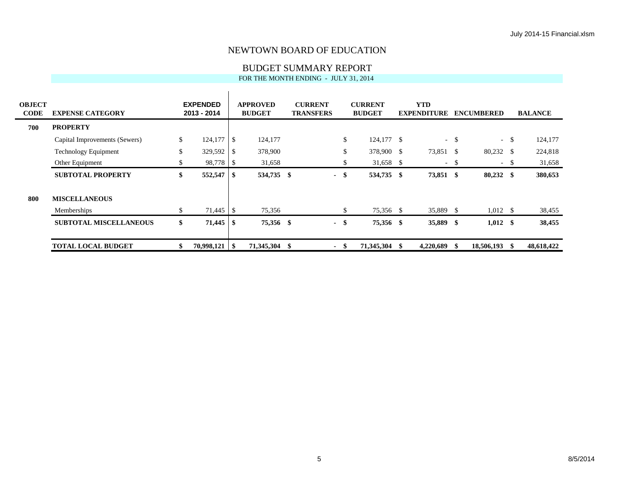#### BUDGET SUMMARY REPORT

| <b>OBJECT</b><br><b>CODE</b> | <b>EXPENSE CATEGORY</b>       | <b>EXPENDED</b><br>2013 - 2014 |                | <b>APPROVED</b><br><b>BUDGET</b> | <b>CURRENT</b><br><b>TRANSFERS</b> |      | <b>CURRENT</b><br><b>BUDGET</b> |      | <b>YTD</b><br><b>EXPENDITURE</b> |        | <b>ENCUMBERED</b> |      | <b>BALANCE</b> |
|------------------------------|-------------------------------|--------------------------------|----------------|----------------------------------|------------------------------------|------|---------------------------------|------|----------------------------------|--------|-------------------|------|----------------|
| 700                          | <b>PROPERTY</b>               |                                |                |                                  |                                    |      |                                 |      |                                  |        |                   |      |                |
|                              | Capital Improvements (Sewers) | \$<br>124,177                  | $\overline{1}$ | 124,177                          |                                    | \$   | 124,177 \$                      |      |                                  | $-$ \$ | $\sim$            | -S   | 124,177        |
|                              | <b>Technology Equipment</b>   | \$<br>329,592                  |                | 378,900                          |                                    | \$   | 378,900 \$                      |      | 73,851 \$                        |        | 80,232 \$         |      | 224,818        |
|                              | Other Equipment               | \$<br>98,778 \$                |                | 31,658                           |                                    | \$   | 31,658 \$                       |      |                                  | $-5$   | $\sim$            | -S   | 31,658         |
|                              | <b>SUBTOTAL PROPERTY</b>      | \$<br>552,547                  | 1 S            | 534,735 \$                       | $\blacksquare$                     | -\$  | 534,735 \$                      |      | 73,851 \$                        |        | $80,232$ \$       |      | 380,653        |
| 800                          | <b>MISCELLANEOUS</b>          |                                |                |                                  |                                    |      |                                 |      |                                  |        |                   |      |                |
|                              | Memberships                   | \$                             |                | 75,356                           |                                    | \$   | 75,356 \$                       |      | 35,889 \$                        |        | $1,012 \quad$ \$  |      | 38,455         |
|                              | <b>SUBTOTAL MISCELLANEOUS</b> | \$<br>71,445                   | <b>1\$</b>     | 75,356 \$                        | $\sim$                             | -\$  | 75,356 \$                       |      | 35,889 \$                        |        | $1,012$ \$        |      | 38,455         |
|                              | <b>TOTAL LOCAL BUDGET</b>     | \$<br>$70,998,121$   \$        |                | 71,345,304                       |                                    | - \$ | 71,345,304                      | - 86 | 4,220,689                        | - 86   | 18,506,193        | - SS | 48,618,422     |